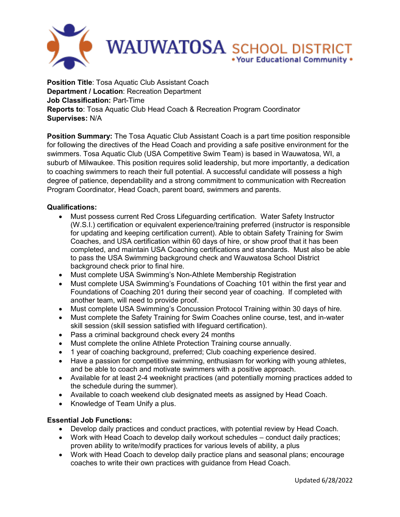

**Position Title: Tosa Aquatic Club Assistant Coach Department / Location**: Recreation Department **Job Classification:** Part-Time **Reports to**: Tosa Aquatic Club Head Coach & Recreation Program Coordinator **Supervises:** N/A

**Position Summary:** The Tosa Aquatic Club Assistant Coach is a part time position responsible for following the directives of the Head Coach and providing a safe positive environment for the swimmers. Tosa Aquatic Club (USA Competitive Swim Team) is based in Wauwatosa, WI, a suburb of Milwaukee. This position requires solid leadership, but more importantly, a dedication to coaching swimmers to reach their full potential. A successful candidate will possess a high degree of patience, dependability and a strong commitment to communication with Recreation Program Coordinator, Head Coach, parent board, swimmers and parents.

## **Qualifications:**

- Must possess current Red Cross Lifeguarding certification. Water Safety Instructor (W.S.I.) certification or equivalent experience/training preferred (instructor is responsible for updating and keeping certification current). Able to obtain Safety Training for Swim Coaches, and USA certification within 60 days of hire, or show proof that it has been completed, and maintain USA Coaching certifications and standards. Must also be able to pass the USA Swimming background check and Wauwatosa School District background check prior to final hire.
- Must complete USA Swimming's Non-Athlete Membership Registration
- Must complete USA Swimming's Foundations of Coaching 101 within the first year and Foundations of Coaching 201 during their second year of coaching. If completed with another team, will need to provide proof.
- Must complete USA Swimming's Concussion Protocol Training within 30 days of hire.
- Must complete the Safety Training for Swim Coaches online course, test, and in-water skill session (skill session satisfied with lifeguard certification).
- Pass a criminal background check every 24 months
- Must complete the online Athlete Protection Training course annually.
- 1 year of coaching background, preferred; Club coaching experience desired.
- Have a passion for competitive swimming, enthusiasm for working with young athletes, and be able to coach and motivate swimmers with a positive approach.
- Available for at least 2-4 weeknight practices (and potentially morning practices added to the schedule during the summer).
- Available to coach weekend club designated meets as assigned by Head Coach.
- Knowledge of Team Unify a plus.

## **Essential Job Functions:**

- Develop daily practices and conduct practices, with potential review by Head Coach.
- Work with Head Coach to develop daily workout schedules conduct daily practices; proven ability to write/modify practices for various levels of ability, a plus
- Work with Head Coach to develop daily practice plans and seasonal plans; encourage coaches to write their own practices with guidance from Head Coach.